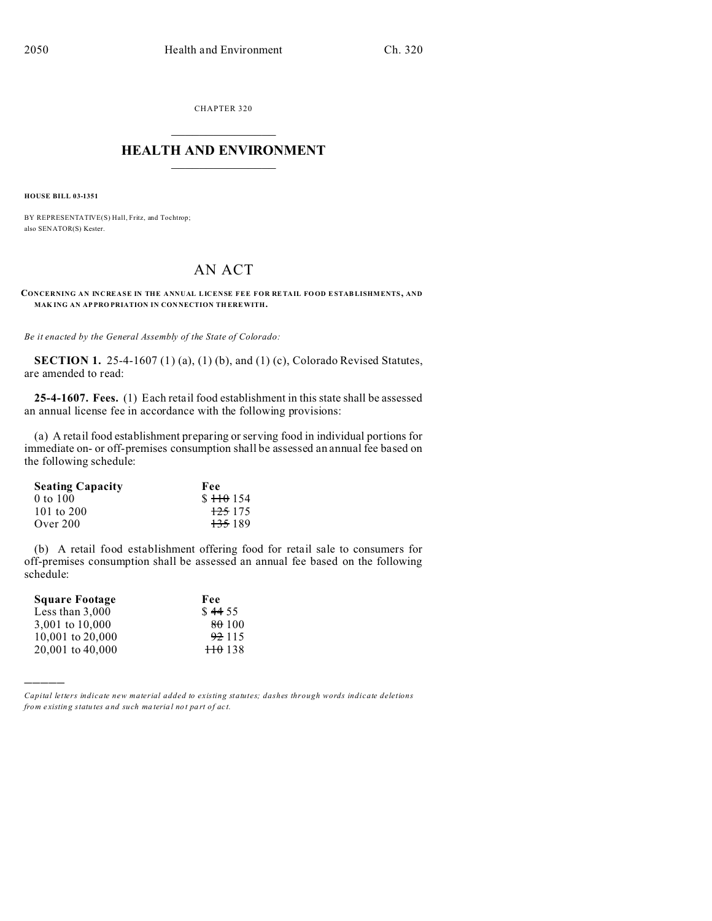CHAPTER 320  $\overline{\phantom{a}}$  , where  $\overline{\phantom{a}}$ 

## **HEALTH AND ENVIRONMENT**  $\_$   $\_$   $\_$   $\_$   $\_$   $\_$   $\_$   $\_$

**HOUSE BILL 03-1351**

BY REPRESENTATIVE(S) Hall, Fritz, and Tochtrop; also SENATOR(S) Kester.

## AN ACT

**CONCERNING AN INCREASE IN THE ANNUAL LICENSE FEE FOR RETAIL FOOD ESTAB LISHMENTS, AND MAK ING AN AP PRO PRIATION IN CON NECTION TH EREWITH.**

*Be it enacted by the General Assembly of the State of Colorado:*

**SECTION 1.** 25-4-1607 (1) (a), (1) (b), and (1) (c), Colorado Revised Statutes, are amended to read:

**25-4-1607. Fees.** (1) Each retail food establishment in this state shall be assessed an annual license fee in accordance with the following provisions:

(a) A retail food establishment preparing or serving food in individual portions for immediate on- or off-premises consumption shall be assessed an annual fee based on the following schedule:

| <b>Seating Capacity</b> | Fee                |
|-------------------------|--------------------|
| 0 to 100                | $$110$ 154         |
| 101 to $200$            | <del>125</del> 175 |
| Over 200                | <del>135</del> 189 |

(b) A retail food establishment offering food for retail sale to consumers for off-premises consumption shall be assessed an annual fee based on the following schedule:

| Fee               |
|-------------------|
| \$4455            |
| 80 100            |
| 92 115            |
| $\frac{110}{138}$ |
|                   |

)))))

*Capital letters indicate new material added to existing statutes; dashes through words indicate deletions from e xistin g statu tes a nd such ma teria l no t pa rt of ac t.*